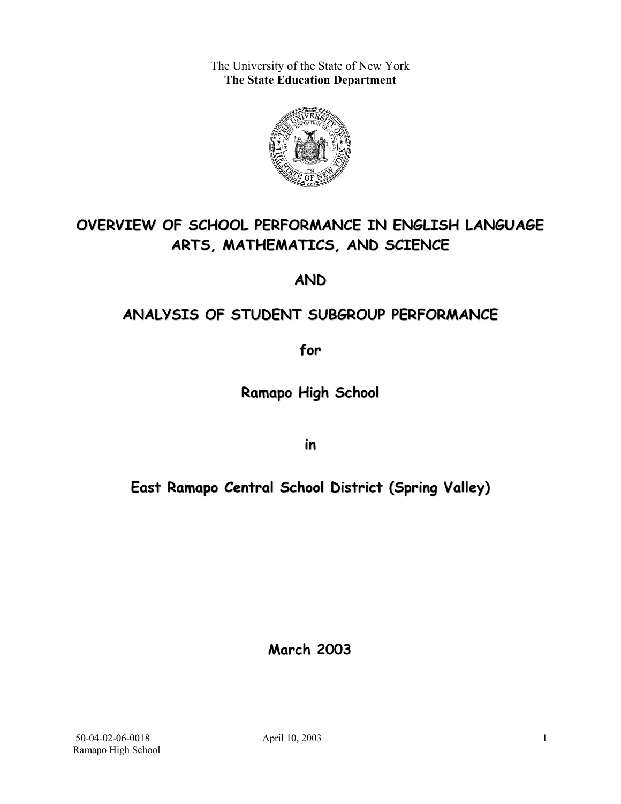The University of the State of New York **The State Education Department** 



# **OVERVIEW OF SCHOOL PERFORMANCE IN ENGLISH LANGUAGE ARTS, MATHEMATICS, AND SCIENCE**

**AND**

## **ANALYSIS OF STUDENT SUBGROUP PERFORMANCE**

**for**

**Ramapo High School**

**in**

**East Ramapo Central School District (Spring Valley)**

**March 2003**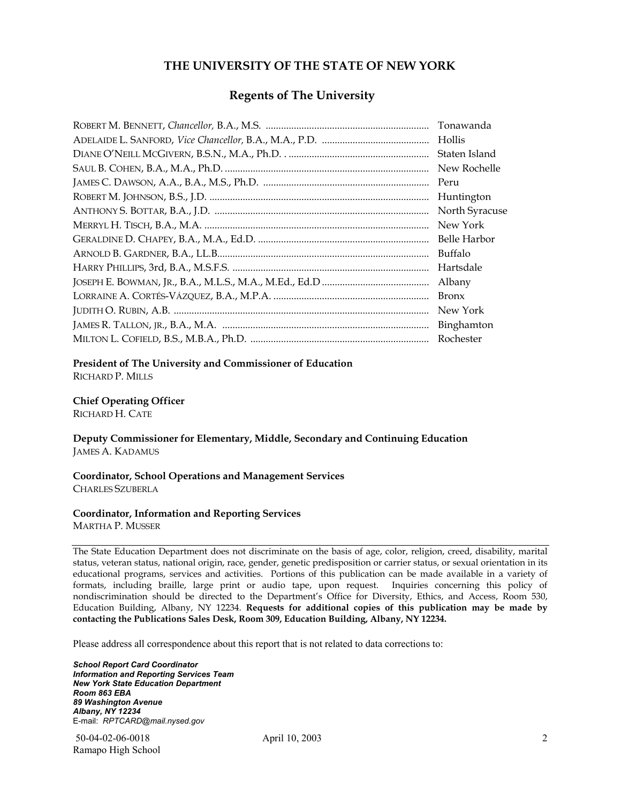#### **THE UNIVERSITY OF THE STATE OF NEW YORK**

#### **Regents of The University**

| Tonawanda      |
|----------------|
| Hollis         |
| Staten Island  |
| New Rochelle   |
| Peru           |
| Huntington     |
| North Syracuse |
| New York       |
| Belle Harbor   |
| Buffalo        |
| Hartsdale      |
| Albany         |
| <b>Bronx</b>   |
| New York       |
| Binghamton     |
| Rochester      |

#### **President of The University and Commissioner of Education**

RICHARD P. MILLS

#### **Chief Operating Officer**

RICHARD H. CATE

**Deputy Commissioner for Elementary, Middle, Secondary and Continuing Education**  JAMES A. KADAMUS

#### **Coordinator, School Operations and Management Services**  CHARLES SZUBERLA

#### **Coordinator, Information and Reporting Services**

MARTHA P. MUSSER

The State Education Department does not discriminate on the basis of age, color, religion, creed, disability, marital status, veteran status, national origin, race, gender, genetic predisposition or carrier status, or sexual orientation in its educational programs, services and activities. Portions of this publication can be made available in a variety of formats, including braille, large print or audio tape, upon request. Inquiries concerning this policy of nondiscrimination should be directed to the Department's Office for Diversity, Ethics, and Access, Room 530, Education Building, Albany, NY 12234. **Requests for additional copies of this publication may be made by contacting the Publications Sales Desk, Room 309, Education Building, Albany, NY 12234.** 

Please address all correspondence about this report that is not related to data corrections to:

*School Report Card Coordinator Information and Reporting Services Team New York State Education Department Room 863 EBA 89 Washington Avenue Albany, NY 12234*  E-mail: *RPTCARD@mail.nysed.gov*

 50-04-02-06-0018 April 10, 2003 Ramapo High School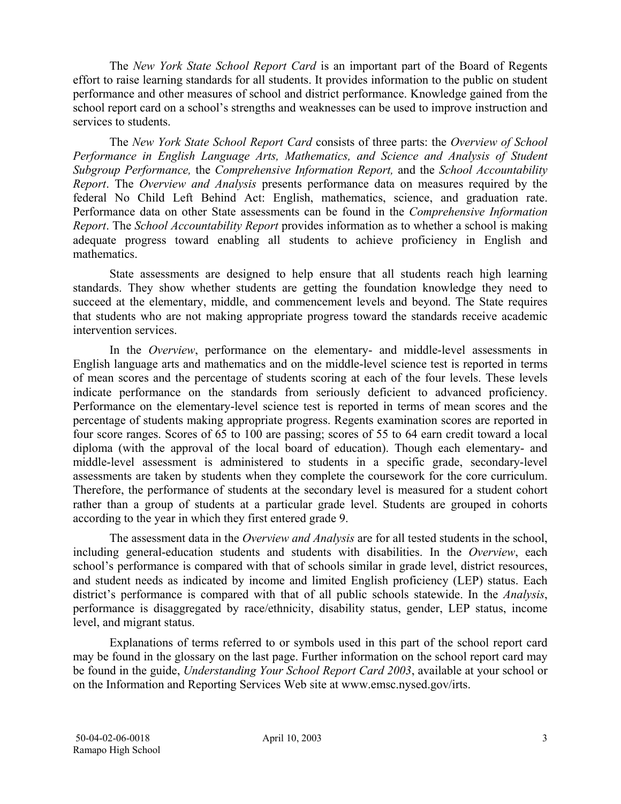The *New York State School Report Card* is an important part of the Board of Regents effort to raise learning standards for all students. It provides information to the public on student performance and other measures of school and district performance. Knowledge gained from the school report card on a school's strengths and weaknesses can be used to improve instruction and services to students.

The *New York State School Report Card* consists of three parts: the *Overview of School Performance in English Language Arts, Mathematics, and Science and Analysis of Student Subgroup Performance,* the *Comprehensive Information Report,* and the *School Accountability Report*. The *Overview and Analysis* presents performance data on measures required by the federal No Child Left Behind Act: English, mathematics, science, and graduation rate. Performance data on other State assessments can be found in the *Comprehensive Information Report*. The *School Accountability Report* provides information as to whether a school is making adequate progress toward enabling all students to achieve proficiency in English and mathematics.

State assessments are designed to help ensure that all students reach high learning standards. They show whether students are getting the foundation knowledge they need to succeed at the elementary, middle, and commencement levels and beyond. The State requires that students who are not making appropriate progress toward the standards receive academic intervention services.

In the *Overview*, performance on the elementary- and middle-level assessments in English language arts and mathematics and on the middle-level science test is reported in terms of mean scores and the percentage of students scoring at each of the four levels. These levels indicate performance on the standards from seriously deficient to advanced proficiency. Performance on the elementary-level science test is reported in terms of mean scores and the percentage of students making appropriate progress. Regents examination scores are reported in four score ranges. Scores of 65 to 100 are passing; scores of 55 to 64 earn credit toward a local diploma (with the approval of the local board of education). Though each elementary- and middle-level assessment is administered to students in a specific grade, secondary-level assessments are taken by students when they complete the coursework for the core curriculum. Therefore, the performance of students at the secondary level is measured for a student cohort rather than a group of students at a particular grade level. Students are grouped in cohorts according to the year in which they first entered grade 9.

The assessment data in the *Overview and Analysis* are for all tested students in the school, including general-education students and students with disabilities. In the *Overview*, each school's performance is compared with that of schools similar in grade level, district resources, and student needs as indicated by income and limited English proficiency (LEP) status. Each district's performance is compared with that of all public schools statewide. In the *Analysis*, performance is disaggregated by race/ethnicity, disability status, gender, LEP status, income level, and migrant status.

Explanations of terms referred to or symbols used in this part of the school report card may be found in the glossary on the last page. Further information on the school report card may be found in the guide, *Understanding Your School Report Card 2003*, available at your school or on the Information and Reporting Services Web site at www.emsc.nysed.gov/irts.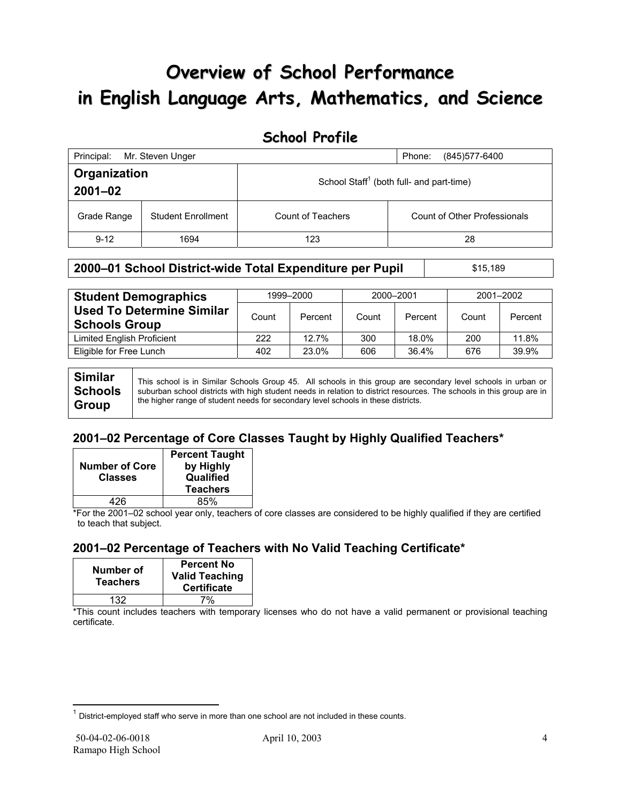# **Overview of School Performance in English Language Arts, Mathematics, and Science**

### **School Profile**

| Principal:                  | Mr. Steven Unger          |                                                      | (845) 577-6400<br>Phone:            |
|-----------------------------|---------------------------|------------------------------------------------------|-------------------------------------|
| Organization<br>$2001 - 02$ |                           | School Staff <sup>1</sup> (both full- and part-time) |                                     |
| Grade Range                 | <b>Student Enrollment</b> | Count of Teachers                                    | <b>Count of Other Professionals</b> |
| $9 - 12$                    | 1694                      | 123                                                  | 28                                  |

#### **2000–01 School District-wide Total Expenditure per Pupil | \$15,189**

| <b>Student Demographics</b>                              |       | 1999-2000 | 2000-2001 |         | 2001-2002 |         |  |
|----------------------------------------------------------|-------|-----------|-----------|---------|-----------|---------|--|
| <b>Used To Determine Similar</b><br><b>Schools Group</b> | Count | Percent   | Count     | Percent | Count     | Percent |  |
| <b>Limited English Proficient</b>                        | 222   | 12.7%     | 300       | 18.0%   | 200       | 11.8%   |  |
| Eligible for Free Lunch                                  | 402   | 23.0%     | 606       | 36.4%   | 676       | 39.9%   |  |
|                                                          |       |           |           |         |           |         |  |

| <b>Similar</b> | This school is in Similar Schools Group 45. All schools in this group are secondary level schools in urban or         |
|----------------|-----------------------------------------------------------------------------------------------------------------------|
| <b>Schools</b> | suburban school districts with high student needs in relation to district resources. The schools in this group are in |
| <b>Group</b>   | the higher range of student needs for secondary level schools in these districts.                                     |

### **2001–02 Percentage of Core Classes Taught by Highly Qualified Teachers\***

| <b>Number of Core</b><br><b>Classes</b> | <b>Percent Taught</b><br>by Highly<br>Qualified<br><b>Teachers</b> |
|-----------------------------------------|--------------------------------------------------------------------|
| 426                                     | 85%                                                                |

\*For the 2001–02 school year only, teachers of core classes are considered to be highly qualified if they are certified to teach that subject.

### **2001–02 Percentage of Teachers with No Valid Teaching Certificate\***

| Number of<br><b>Teachers</b> | <b>Percent No</b><br><b>Valid Teaching</b><br><b>Certificate</b> |
|------------------------------|------------------------------------------------------------------|
| 132                          | 7%                                                               |

\*This count includes teachers with temporary licenses who do not have a valid permanent or provisional teaching certificate.

 $\overline{a}$  $1$  District-employed staff who serve in more than one school are not included in these counts.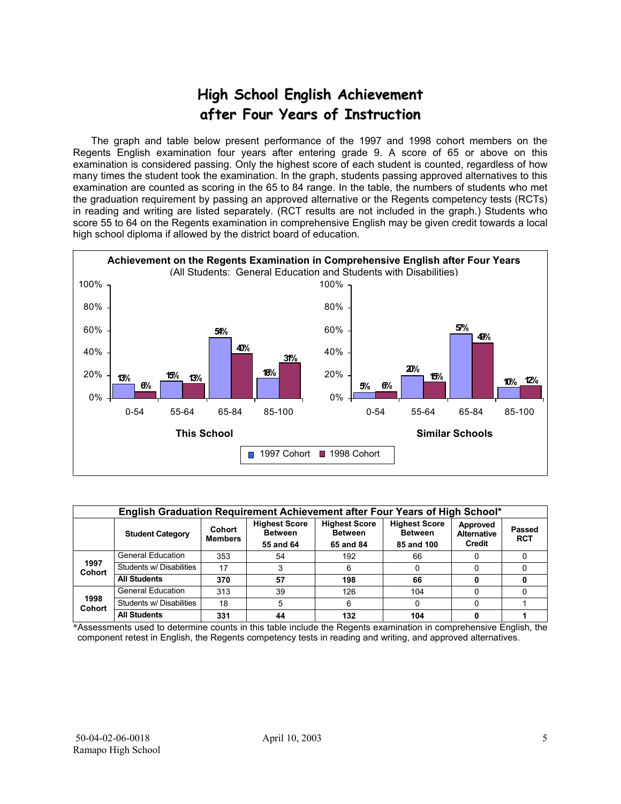# **High School English Achievement after Four Years of Instruction**

 The graph and table below present performance of the 1997 and 1998 cohort members on the Regents English examination four years after entering grade 9. A score of 65 or above on this examination is considered passing. Only the highest score of each student is counted, regardless of how many times the student took the examination. In the graph, students passing approved alternatives to this examination are counted as scoring in the 65 to 84 range. In the table, the numbers of students who met the graduation requirement by passing an approved alternative or the Regents competency tests (RCTs) in reading and writing are listed separately. (RCT results are not included in the graph.) Students who score 55 to 64 on the Regents examination in comprehensive English may be given credit towards a local high school diploma if allowed by the district board of education.



| English Graduation Requirement Achievement after Four Years of High School* |                          |                          |                                                     |                                                     |                                                      |                                          |                             |  |  |  |
|-----------------------------------------------------------------------------|--------------------------|--------------------------|-----------------------------------------------------|-----------------------------------------------------|------------------------------------------------------|------------------------------------------|-----------------------------|--|--|--|
|                                                                             | <b>Student Category</b>  | Cohort<br><b>Members</b> | <b>Highest Score</b><br><b>Between</b><br>55 and 64 | <b>Highest Score</b><br><b>Between</b><br>65 and 84 | <b>Highest Score</b><br><b>Between</b><br>85 and 100 | Approved<br><b>Alternative</b><br>Credit | <b>Passed</b><br><b>RCT</b> |  |  |  |
|                                                                             | <b>General Education</b> | 353                      | 54                                                  | 192                                                 | 66                                                   |                                          |                             |  |  |  |
| 1997<br>Cohort                                                              | Students w/ Disabilities | 17                       |                                                     |                                                     | O                                                    |                                          |                             |  |  |  |
|                                                                             | <b>All Students</b>      | 370                      | 57                                                  | 198                                                 | 66                                                   |                                          |                             |  |  |  |
|                                                                             | <b>General Education</b> | 313                      | 39                                                  | 126                                                 | 104                                                  |                                          |                             |  |  |  |
| 1998<br><b>Cohort</b>                                                       | Students w/ Disabilities | 18                       | 5                                                   | ิค                                                  | 0                                                    |                                          |                             |  |  |  |
|                                                                             | <b>All Students</b>      | 331                      | 44                                                  | 132                                                 | 104                                                  |                                          |                             |  |  |  |

\*Assessments used to determine counts in this table include the Regents examination in comprehensive English, the component retest in English, the Regents competency tests in reading and writing, and approved alternatives.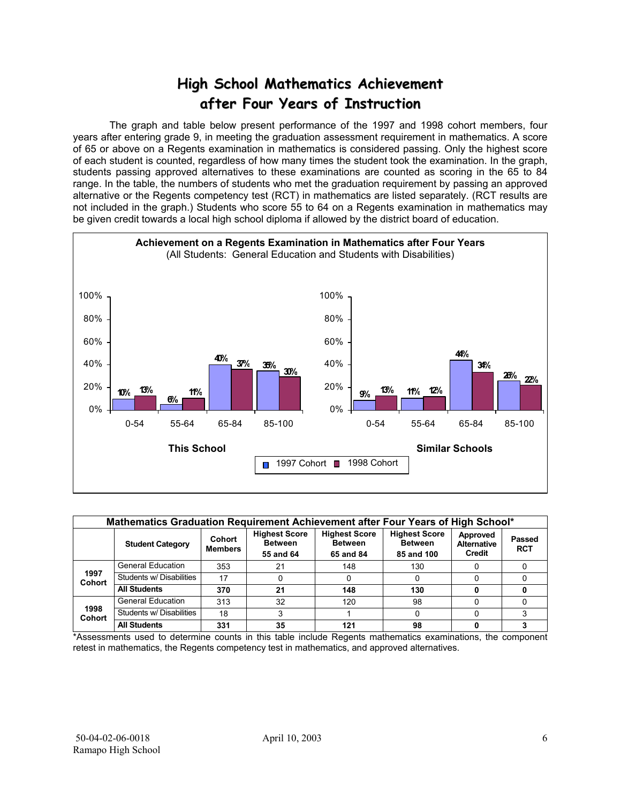## **High School Mathematics Achievement after Four Years of Instruction**

 The graph and table below present performance of the 1997 and 1998 cohort members, four years after entering grade 9, in meeting the graduation assessment requirement in mathematics. A score of 65 or above on a Regents examination in mathematics is considered passing. Only the highest score of each student is counted, regardless of how many times the student took the examination. In the graph, students passing approved alternatives to these examinations are counted as scoring in the 65 to 84 range. In the table, the numbers of students who met the graduation requirement by passing an approved alternative or the Regents competency test (RCT) in mathematics are listed separately. (RCT results are not included in the graph.) Students who score 55 to 64 on a Regents examination in mathematics may be given credit towards a local high school diploma if allowed by the district board of education.



| Mathematics Graduation Requirement Achievement after Four Years of High School* |                          |                          |                                                     |                                                     |                                                      |                                          |                      |  |  |  |
|---------------------------------------------------------------------------------|--------------------------|--------------------------|-----------------------------------------------------|-----------------------------------------------------|------------------------------------------------------|------------------------------------------|----------------------|--|--|--|
|                                                                                 | <b>Student Category</b>  | Cohort<br><b>Members</b> | <b>Highest Score</b><br><b>Between</b><br>55 and 64 | <b>Highest Score</b><br><b>Between</b><br>65 and 84 | <b>Highest Score</b><br><b>Between</b><br>85 and 100 | Approved<br><b>Alternative</b><br>Credit | Passed<br><b>RCT</b> |  |  |  |
|                                                                                 | <b>General Education</b> | 353                      | 21                                                  | 148                                                 | 130                                                  |                                          |                      |  |  |  |
| 1997<br><b>Cohort</b>                                                           | Students w/ Disabilities | 17                       | 0                                                   |                                                     |                                                      |                                          |                      |  |  |  |
|                                                                                 | <b>All Students</b>      | 370                      | 21                                                  | 148                                                 | 130                                                  |                                          |                      |  |  |  |
|                                                                                 | <b>General Education</b> | 313                      | 32                                                  | 120                                                 | 98                                                   |                                          |                      |  |  |  |
| 1998<br><b>Cohort</b>                                                           | Students w/ Disabilities | 18                       | 3                                                   |                                                     |                                                      |                                          |                      |  |  |  |
|                                                                                 | <b>All Students</b>      | 331                      | 35                                                  | 121                                                 | 98                                                   |                                          |                      |  |  |  |

\*Assessments used to determine counts in this table include Regents mathematics examinations, the component retest in mathematics, the Regents competency test in mathematics, and approved alternatives.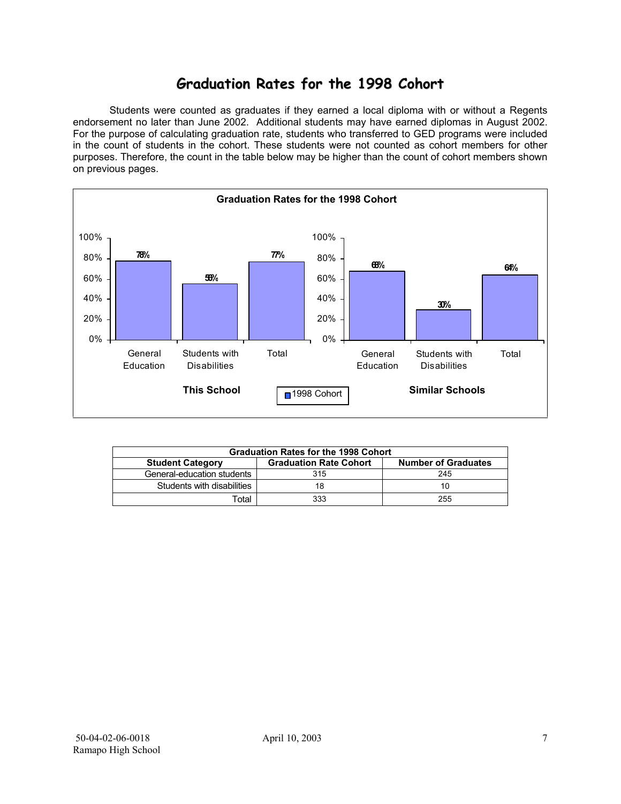### **Graduation Rates for the 1998 Cohort**

 Students were counted as graduates if they earned a local diploma with or without a Regents endorsement no later than June 2002. Additional students may have earned diplomas in August 2002. For the purpose of calculating graduation rate, students who transferred to GED programs were included in the count of students in the cohort. These students were not counted as cohort members for other purposes. Therefore, the count in the table below may be higher than the count of cohort members shown on previous pages.



| <b>Graduation Rates for the 1998 Cohort</b>                                            |     |     |  |  |  |  |  |  |
|----------------------------------------------------------------------------------------|-----|-----|--|--|--|--|--|--|
| <b>Graduation Rate Cohort</b><br><b>Number of Graduates</b><br><b>Student Category</b> |     |     |  |  |  |  |  |  |
| General-education students                                                             | 315 | 245 |  |  |  |  |  |  |
| Students with disabilities                                                             |     | 10  |  |  |  |  |  |  |
| Total                                                                                  | 333 | 255 |  |  |  |  |  |  |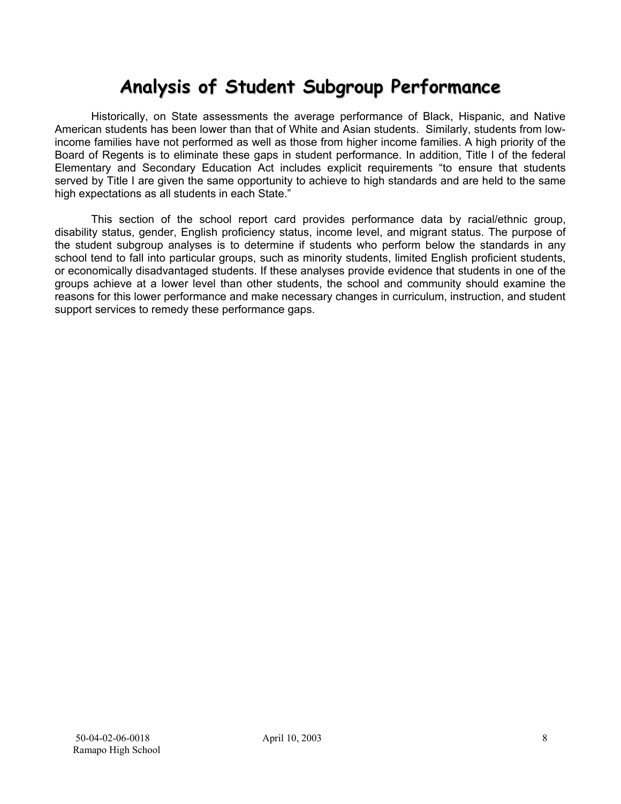# **Analysis of Student Subgroup Performance**

Historically, on State assessments the average performance of Black, Hispanic, and Native American students has been lower than that of White and Asian students. Similarly, students from lowincome families have not performed as well as those from higher income families. A high priority of the Board of Regents is to eliminate these gaps in student performance. In addition, Title I of the federal Elementary and Secondary Education Act includes explicit requirements "to ensure that students served by Title I are given the same opportunity to achieve to high standards and are held to the same high expectations as all students in each State."

This section of the school report card provides performance data by racial/ethnic group, disability status, gender, English proficiency status, income level, and migrant status. The purpose of the student subgroup analyses is to determine if students who perform below the standards in any school tend to fall into particular groups, such as minority students, limited English proficient students, or economically disadvantaged students. If these analyses provide evidence that students in one of the groups achieve at a lower level than other students, the school and community should examine the reasons for this lower performance and make necessary changes in curriculum, instruction, and student support services to remedy these performance gaps.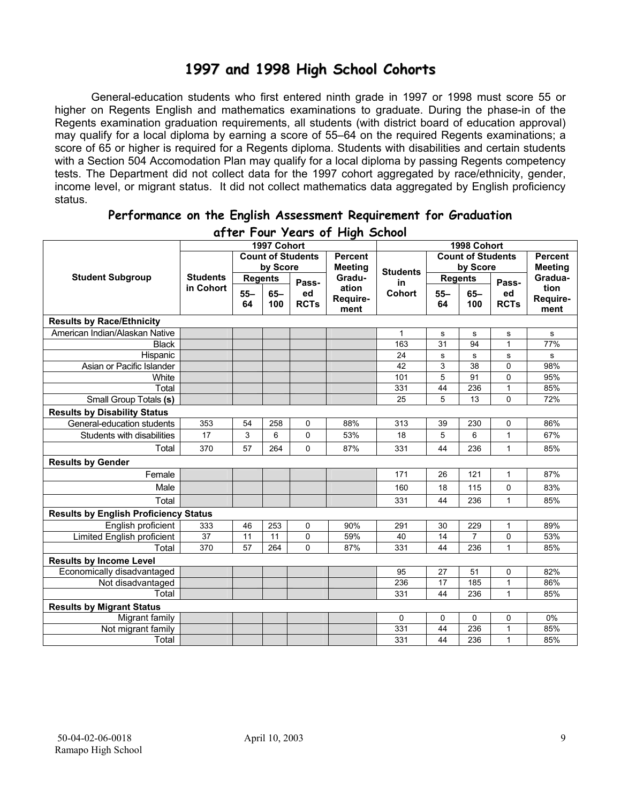### **1997 and 1998 High School Cohorts**

General-education students who first entered ninth grade in 1997 or 1998 must score 55 or higher on Regents English and mathematics examinations to graduate. During the phase-in of the Regents examination graduation requirements, all students (with district board of education approval) may qualify for a local diploma by earning a score of 55–64 on the required Regents examinations; a score of 65 or higher is required for a Regents diploma. Students with disabilities and certain students with a Section 504 Accomodation Plan may qualify for a local diploma by passing Regents competency tests. The Department did not collect data for the 1997 cohort aggregated by race/ethnicity, gender, income level, or migrant status. It did not collect mathematics data aggregated by English proficiency status.

| a) ier Tour zears of Flight School           |                 |                |             |                          |                |                 |                          |                |              |                |
|----------------------------------------------|-----------------|----------------|-------------|--------------------------|----------------|-----------------|--------------------------|----------------|--------------|----------------|
|                                              |                 |                | 1997 Cohort |                          |                |                 |                          | 1998 Cohort    |              |                |
|                                              |                 |                |             | <b>Count of Students</b> | <b>Percent</b> |                 | <b>Count of Students</b> |                |              | <b>Percent</b> |
| <b>Student Subgroup</b>                      |                 |                | by Score    |                          | <b>Meeting</b> | <b>Students</b> |                          | by Score       |              | <b>Meeting</b> |
|                                              | <b>Students</b> | <b>Regents</b> |             | Pass-                    | Gradu-         | in              |                          | <b>Regents</b> | Pass-        | Gradua-        |
|                                              | in Cohort       | $55 -$         | $65-$       | ed                       | ation          | <b>Cohort</b>   | $55 -$                   | $65 -$         | ed           | tion           |
|                                              |                 | 64             | 100         | <b>RCTs</b>              | Require-       |                 | 64                       | 100            | <b>RCTs</b>  | Require-       |
|                                              |                 |                |             |                          | ment           |                 |                          |                |              | ment           |
| <b>Results by Race/Ethnicity</b>             |                 |                |             |                          |                |                 |                          |                |              |                |
| American Indian/Alaskan Native               |                 |                |             |                          |                | $\mathbf{1}$    | s                        | s              | s            | s              |
| <b>Black</b>                                 |                 |                |             |                          |                | 163             | 31                       | 94             | $\mathbf{1}$ | 77%            |
| Hispanic                                     |                 |                |             |                          |                | 24              | s                        | $\mathbf s$    | s            | s              |
| Asian or Pacific Islander                    |                 |                |             |                          |                | 42              | 3                        | 38             | 0            | 98%            |
| White                                        |                 |                |             |                          |                | 101             | 5                        | 91             | 0            | 95%            |
| Total                                        |                 |                |             |                          |                | 331             | 44                       | 236            | $\mathbf{1}$ | 85%            |
| <b>Small Group Totals (s)</b>                |                 |                |             |                          |                | 25              | 5                        | 13             | 0            | 72%            |
| <b>Results by Disability Status</b>          |                 |                |             |                          |                |                 |                          |                |              |                |
| General-education students                   | 353             | 54             | 258         | $\mathbf 0$              | 88%            | 313             | 39                       | 230            | 0            | 86%            |
| Students with disabilities                   | 17              | 3              | 6           | $\Omega$                 | 53%            | 18              | 5                        | 6              | $\mathbf{1}$ | 67%            |
| Total                                        | 370             | 57             | 264         | $\Omega$                 | 87%            | 331             | 44                       | 236            | $\mathbf{1}$ | 85%            |
| <b>Results by Gender</b>                     |                 |                |             |                          |                |                 |                          |                |              |                |
| Female                                       |                 |                |             |                          |                | 171             | 26                       | 121            | 1            | 87%            |
| Male                                         |                 |                |             |                          |                | 160             | 18                       | 115            | 0            | 83%            |
| Total                                        |                 |                |             |                          |                | 331             | 44                       | 236            | 1            | 85%            |
| <b>Results by English Proficiency Status</b> |                 |                |             |                          |                |                 |                          |                |              |                |
| English proficient                           | 333             | 46             | 253         | $\mathbf 0$              | 90%            | 291             | 30                       | 229            | 1            | 89%            |
| Limited English proficient                   | 37              | 11             | 11          | $\mathbf 0$              | 59%            | 40              | 14                       | $\overline{7}$ | 0            | 53%            |
| Total                                        | 370             | 57             | 264         | $\Omega$                 | 87%            | 331             | 44                       | 236            | 1            | 85%            |
| <b>Results by Income Level</b>               |                 |                |             |                          |                |                 |                          |                |              |                |
| Economically disadvantaged                   |                 |                |             |                          |                | 95              | 27                       | 51             | 0            | 82%            |
| Not disadvantaged                            |                 |                |             |                          |                | 236             | 17                       | 185            | $\mathbf{1}$ | 86%            |
| Total                                        |                 |                |             |                          |                | 331             | 44                       | 236            | 1            | 85%            |
| <b>Results by Migrant Status</b>             |                 |                |             |                          |                |                 |                          |                |              |                |
| Migrant family                               |                 |                |             |                          |                | 0               | 0                        | 0              | 0            | 0%             |
| Not migrant family                           |                 |                |             |                          |                | 331             | 44                       | 236            | 1            | 85%            |
| Total                                        |                 |                |             |                          |                | 331             | 44                       | 236            | $\mathbf{1}$ | 85%            |

#### **Performance on the English Assessment Requirement for Graduation after Four Years of High School**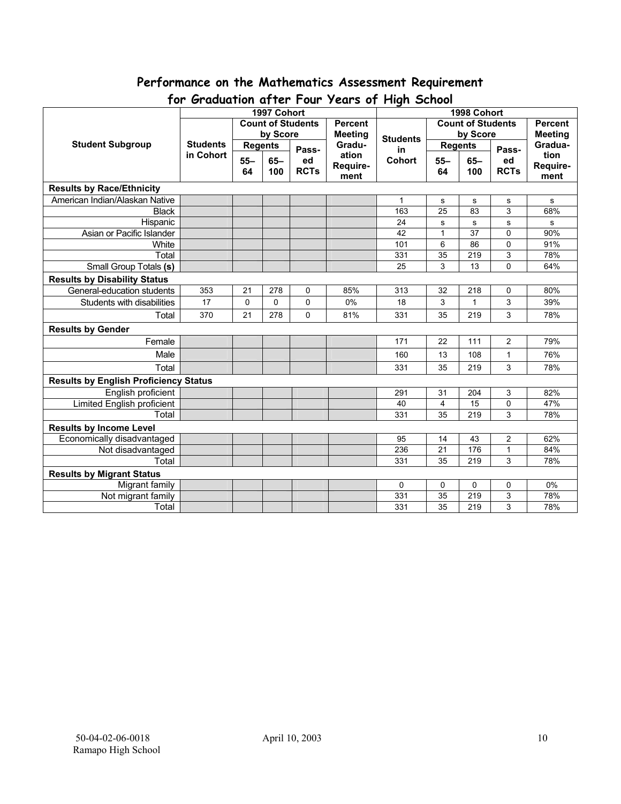# **Performance on the Mathematics Assessment Requirement**

| יש ו<br><b>U</b> duudituti ujiel 1 bul<br>1997 Cohort |                 |                                      |        |             |                | $1$ cuts by The street<br>1998 Cohort |                 |          |                |                |
|-------------------------------------------------------|-----------------|--------------------------------------|--------|-------------|----------------|---------------------------------------|-----------------|----------|----------------|----------------|
|                                                       |                 |                                      |        |             | <b>Percent</b> | <b>Count of Students</b>              |                 |          |                | <b>Percent</b> |
|                                                       |                 | <b>Count of Students</b><br>by Score |        |             | <b>Meeting</b> |                                       |                 | by Score |                | <b>Meeting</b> |
| <b>Student Subgroup</b>                               | <b>Students</b> |                                      |        |             | Gradu-         | <b>Students</b>                       |                 |          |                | Gradua-        |
|                                                       | in Cohort       | <b>Regents</b>                       |        | Pass-       | ation          | in                                    | <b>Regents</b>  |          | Pass-          | tion           |
|                                                       |                 | $55 -$                               | $65 -$ | ed          | Require-       | <b>Cohort</b>                         | $55 -$          | $65-$    | ed             | Require-       |
|                                                       |                 | 64                                   | 100    | <b>RCTs</b> | ment           |                                       | 64              | 100      | <b>RCTs</b>    | ment           |
| <b>Results by Race/Ethnicity</b>                      |                 |                                      |        |             |                |                                       |                 |          |                |                |
| American Indian/Alaskan Native                        |                 |                                      |        |             |                | 1                                     | s               | s        | s              | s              |
| <b>Black</b>                                          |                 |                                      |        |             |                | 163                                   | $\overline{25}$ | 83       | $\overline{3}$ | 68%            |
| Hispanic                                              |                 |                                      |        |             |                | 24                                    | s               | s        | $\sf s$        | s              |
| Asian or Pacific Islander                             |                 |                                      |        |             |                | 42                                    | $\mathbf{1}$    | 37       | 0              | 90%            |
| White                                                 |                 |                                      |        |             |                | 101                                   | 6               | 86       | $\mathbf 0$    | 91%            |
| Total                                                 |                 |                                      |        |             |                | 331                                   | $\overline{35}$ | 219      | $\overline{3}$ | 78%            |
| Small Group Totals (s)                                |                 |                                      |        |             |                | 25                                    | 3               | 13       | $\overline{0}$ | 64%            |
| <b>Results by Disability Status</b>                   |                 |                                      |        |             |                |                                       |                 |          |                |                |
| General-education students                            | 353             | 21                                   | 278    | 0           | 85%            | 313                                   | 32              | 218      | 0              | 80%            |
| Students with disabilities                            | 17              | $\mathbf 0$                          | 0      | 0           | 0%             | 18                                    | 3               | 1        | 3              | 39%            |
| Total                                                 | 370             | 21                                   | 278    | 0           | 81%            | 331                                   | 35              | 219      | 3              | 78%            |
| <b>Results by Gender</b>                              |                 |                                      |        |             |                |                                       |                 |          |                |                |
| Female                                                |                 |                                      |        |             |                | 171                                   | 22              | 111      | $\overline{2}$ | 79%            |
| Male                                                  |                 |                                      |        |             |                | 160                                   | 13              | 108      | $\mathbf{1}$   | 76%            |
| Total                                                 |                 |                                      |        |             |                | 331                                   | 35              | 219      | 3              | 78%            |
| <b>Results by English Proficiency Status</b>          |                 |                                      |        |             |                |                                       |                 |          |                |                |
| English proficient                                    |                 |                                      |        |             |                | 291                                   | 31              | 204      | 3              | 82%            |
| <b>Limited English proficient</b>                     |                 |                                      |        |             |                | 40                                    | 4               | 15       | 0              | 47%            |
| Total                                                 |                 |                                      |        |             |                | 331                                   | 35              | 219      | 3              | 78%            |
| <b>Results by Income Level</b>                        |                 |                                      |        |             |                |                                       |                 |          |                |                |
| Economically disadvantaged                            |                 |                                      |        |             |                | 95                                    | 14              | 43       | 2              | 62%            |
| Not disadvantaged                                     |                 |                                      |        |             |                | 236                                   | 21              | 176      | $\mathbf{1}$   | 84%            |
| Total                                                 |                 |                                      |        |             |                | 331                                   | 35              | 219      | 3              | 78%            |
| <b>Results by Migrant Status</b>                      |                 |                                      |        |             |                |                                       |                 |          |                |                |
| Migrant family                                        |                 |                                      |        |             |                | 0                                     | 0               | 0        | 0              | 0%             |
| Not migrant family                                    |                 |                                      |        |             |                | 331                                   | 35              | 219      | 3              | 78%            |
| Total                                                 |                 |                                      |        |             |                | 331                                   | 35              | 219      | 3              | 78%            |

### **for Graduation after Four Years of High School**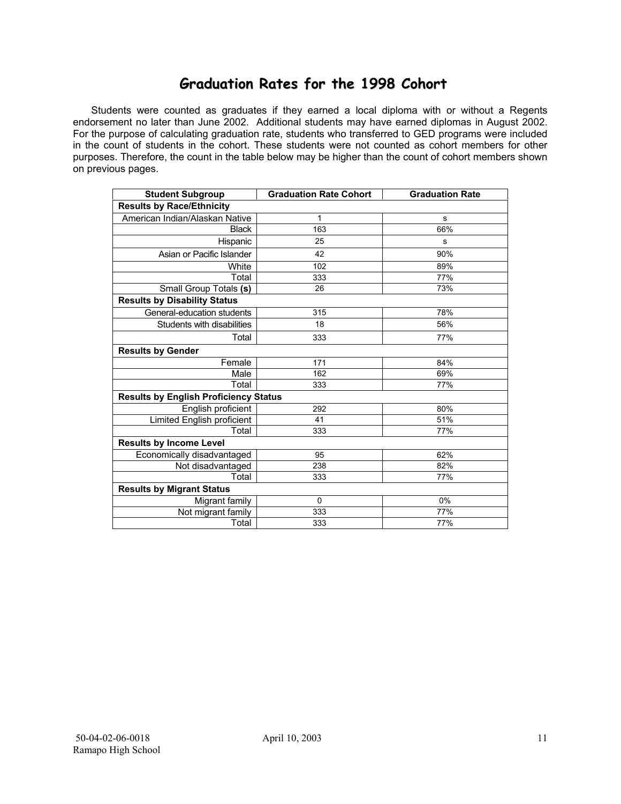### **Graduation Rates for the 1998 Cohort**

 Students were counted as graduates if they earned a local diploma with or without a Regents endorsement no later than June 2002. Additional students may have earned diplomas in August 2002. For the purpose of calculating graduation rate, students who transferred to GED programs were included in the count of students in the cohort. These students were not counted as cohort members for other purposes. Therefore, the count in the table below may be higher than the count of cohort members shown on previous pages.

| <b>Student Subgroup</b>                      | <b>Graduation Rate Cohort</b> | <b>Graduation Rate</b> |  |  |  |  |  |  |  |
|----------------------------------------------|-------------------------------|------------------------|--|--|--|--|--|--|--|
| <b>Results by Race/Ethnicity</b>             |                               |                        |  |  |  |  |  |  |  |
| American Indian/Alaskan Native               | 1                             | s                      |  |  |  |  |  |  |  |
| <b>Black</b>                                 | 163                           | 66%                    |  |  |  |  |  |  |  |
| Hispanic                                     | 25                            | s                      |  |  |  |  |  |  |  |
| Asian or Pacific Islander                    | 42                            | 90%                    |  |  |  |  |  |  |  |
| White                                        | 102                           | 89%                    |  |  |  |  |  |  |  |
| Total                                        | 333                           | 77%                    |  |  |  |  |  |  |  |
| Small Group Totals (s)                       | 26                            | 73%                    |  |  |  |  |  |  |  |
| <b>Results by Disability Status</b>          |                               |                        |  |  |  |  |  |  |  |
| General-education students                   | 315                           | 78%                    |  |  |  |  |  |  |  |
| Students with disabilities                   | 18                            | 56%                    |  |  |  |  |  |  |  |
| Total                                        | 333                           | 77%                    |  |  |  |  |  |  |  |
| <b>Results by Gender</b>                     |                               |                        |  |  |  |  |  |  |  |
| Female                                       | 171                           | 84%                    |  |  |  |  |  |  |  |
| Male                                         | 162                           | 69%                    |  |  |  |  |  |  |  |
| Total                                        | 333                           | 77%                    |  |  |  |  |  |  |  |
| <b>Results by English Proficiency Status</b> |                               |                        |  |  |  |  |  |  |  |
| English proficient                           | 292                           | 80%                    |  |  |  |  |  |  |  |
| Limited English proficient                   | 41                            | 51%                    |  |  |  |  |  |  |  |
| Total                                        | 333                           | 77%                    |  |  |  |  |  |  |  |
| <b>Results by Income Level</b>               |                               |                        |  |  |  |  |  |  |  |
| Economically disadvantaged                   | 95                            | 62%                    |  |  |  |  |  |  |  |
| Not disadvantaged                            | 238                           | 82%                    |  |  |  |  |  |  |  |
| Total                                        | 333                           | 77%                    |  |  |  |  |  |  |  |
| <b>Results by Migrant Status</b>             |                               |                        |  |  |  |  |  |  |  |
| Migrant family                               | $\mathbf 0$                   | 0%                     |  |  |  |  |  |  |  |
| Not migrant family                           | 333                           | 77%                    |  |  |  |  |  |  |  |
| Total                                        | 333                           | 77%                    |  |  |  |  |  |  |  |